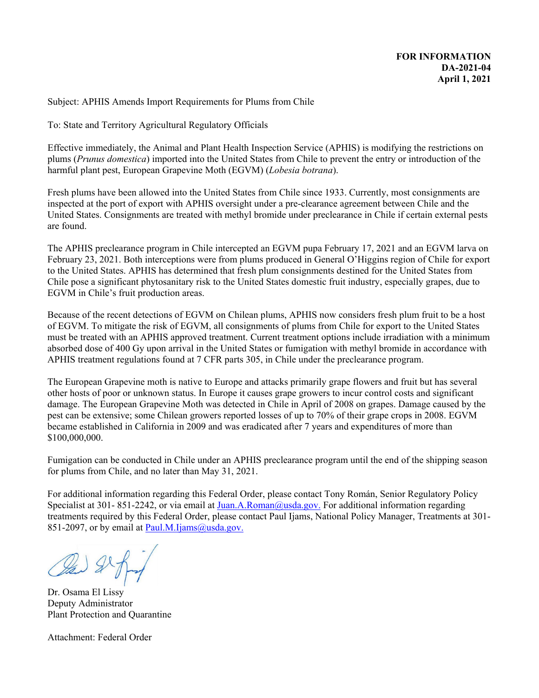Subject: APHIS Amends Import Requirements for Plums from Chile

To: State and Territory Agricultural Regulatory Officials

Effective immediately, the Animal and Plant Health Inspection Service (APHIS) is modifying the restrictions on plums (*Prunus domestica*) imported into the United States from Chile to prevent the entry or introduction of the harmful plant pest, European Grapevine Moth (EGVM) (*Lobesia botrana*).

Fresh plums have been allowed into the United States from Chile since 1933. Currently, most consignments are inspected at the port of export with APHIS oversight under a pre-clearance agreement between Chile and the United States. Consignments are treated with methyl bromide under preclearance in Chile if certain external pests are found.

The APHIS preclearance program in Chile intercepted an EGVM pupa February 17, 2021 and an EGVM larva on February 23, 2021. Both interceptions were from plums produced in General O'Higgins region of Chile for export to the United States. APHIS has determined that fresh plum consignments destined for the United States from Chile pose a significant phytosanitary risk to the United States domestic fruit industry, especially grapes, due to EGVM in Chile's fruit production areas.

Because of the recent detections of EGVM on Chilean plums, APHIS now considers fresh plum fruit to be a host of EGVM. To mitigate the risk of EGVM, all consignments of plums from Chile for export to the United States must be treated with an APHIS approved treatment. Current treatment options include irradiation with a minimum absorbed dose of 400 Gy upon arrival in the United States or fumigation with methyl bromide in accordance with APHIS treatment regulations found at 7 CFR parts 305, in Chile under the preclearance program.

The European Grapevine moth is native to Europe and attacks primarily grape flowers and fruit but has several other hosts of poor or unknown status. In Europe it causes grape growers to incur control costs and significant damage. The European Grapevine Moth was detected in Chile in April of 2008 on grapes. Damage caused by the pest can be extensive; some Chilean growers reported losses of up to 70% of their grape crops in 2008. EGVM became established in California in 2009 and was eradicated after 7 years and expenditures of more than \$100,000,000.

Fumigation can be conducted in Chile under an APHIS preclearance program until the end of the shipping season for plums from Chile, and no later than May 31, 2021.

For additional information regarding this Federal Order, please contact Tony Román, Senior Regulatory Policy Specialist at 301- 851-2242, or via email at [Juan.A.Roman@usda.gov.](mailto:Juan.A.Roman@usda.gov) For additional information regarding treatments required by this Federal Order, please contact Paul Ijams, National Policy Manager, Treatments at 301- 851-2097, or by email at [Paul.M.Ijams@usda.gov.](mailto:Paul.M.Ijams@usda.gov)

Dr. Osama El Lissy Deputy Administrator Plant Protection and Quarantine

Attachment: Federal Order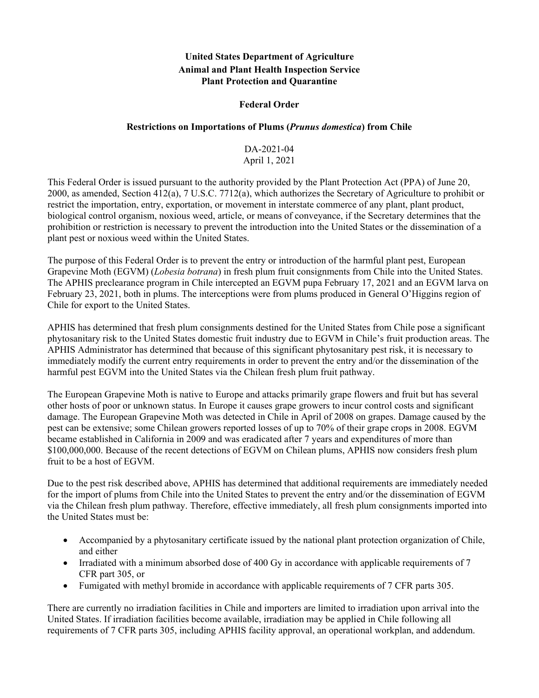## **United States Department of Agriculture Animal and Plant Health Inspection Service Plant Protection and Quarantine**

## **Federal Order**

## **Restrictions on Importations of Plums (***Prunus domestica***) from Chile**

## DA-2021-04 April 1, 2021

This Federal Order is issued pursuant to the authority provided by the Plant Protection Act (PPA) of June 20, 2000, as amended, Section 412(a), 7 U.S.C. 7712(a), which authorizes the Secretary of Agriculture to prohibit or restrict the importation, entry, exportation, or movement in interstate commerce of any plant, plant product, biological control organism, noxious weed, article, or means of conveyance, if the Secretary determines that the prohibition or restriction is necessary to prevent the introduction into the United States or the dissemination of a plant pest or noxious weed within the United States.

The purpose of this Federal Order is to prevent the entry or introduction of the harmful plant pest, European Grapevine Moth (EGVM) (*Lobesia botrana*) in fresh plum fruit consignments from Chile into the United States. The APHIS preclearance program in Chile intercepted an EGVM pupa February 17, 2021 and an EGVM larva on February 23, 2021, both in plums. The interceptions were from plums produced in General O'Higgins region of Chile for export to the United States.

APHIS has determined that fresh plum consignments destined for the United States from Chile pose a significant phytosanitary risk to the United States domestic fruit industry due to EGVM in Chile's fruit production areas. The APHIS Administrator has determined that because of this significant phytosanitary pest risk, it is necessary to immediately modify the current entry requirements in order to prevent the entry and/or the dissemination of the harmful pest EGVM into the United States via the Chilean fresh plum fruit pathway.

The European Grapevine Moth is native to Europe and attacks primarily grape flowers and fruit but has several other hosts of poor or unknown status. In Europe it causes grape growers to incur control costs and significant damage. The European Grapevine Moth was detected in Chile in April of 2008 on grapes. Damage caused by the pest can be extensive; some Chilean growers reported losses of up to 70% of their grape crops in 2008. EGVM became established in California in 2009 and was eradicated after 7 years and expenditures of more than \$100,000,000. Because of the recent detections of EGVM on Chilean plums, APHIS now considers fresh plum fruit to be a host of EGVM.

Due to the pest risk described above, APHIS has determined that additional requirements are immediately needed for the import of plums from Chile into the United States to prevent the entry and/or the dissemination of EGVM via the Chilean fresh plum pathway. Therefore, effective immediately, all fresh plum consignments imported into the United States must be:

- Accompanied by a phytosanitary certificate issued by the national plant protection organization of Chile, and either
- Irradiated with a minimum absorbed dose of 400 Gy in accordance with applicable requirements of 7 CFR part 305, or
- Fumigated with methyl bromide in accordance with applicable requirements of 7 CFR parts 305.

There are currently no irradiation facilities in Chile and importers are limited to irradiation upon arrival into the United States. If irradiation facilities become available, irradiation may be applied in Chile following all requirements of 7 CFR parts 305, including APHIS facility approval, an operational workplan, and addendum.